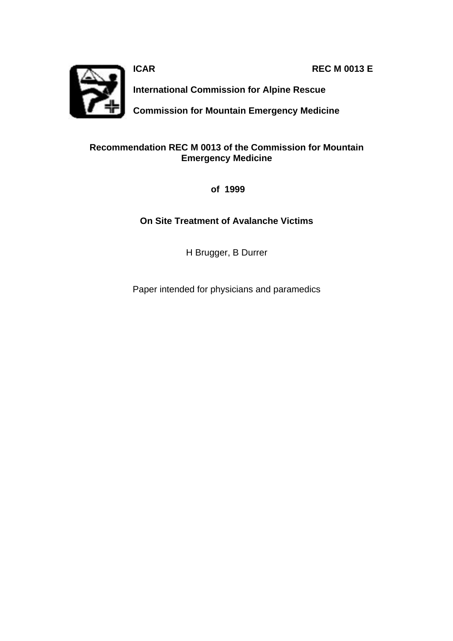**ICAR REC M 0013 E**



**International Commission for Alpine Rescue**

**Commission for Mountain Emergency Medicine**

### **Recommendation REC M 0013 of the Commission for Mountain Emergency Medicine**

 **of 1999**

### **On Site Treatment of Avalanche Victims**

H Brugger, B Durrer

Paper intended for physicians and paramedics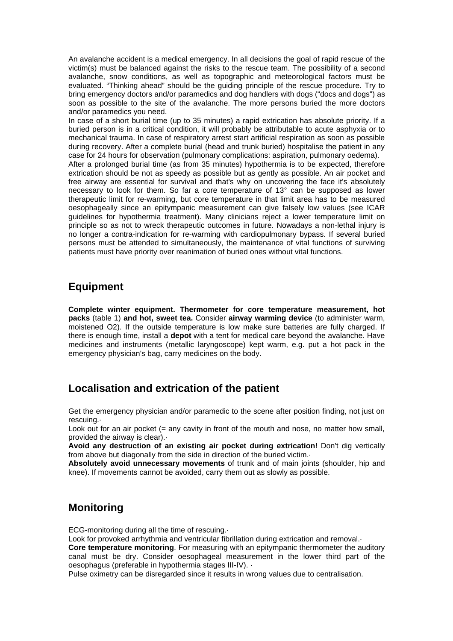An avalanche accident is a medical emergency. In all decisions the goal of rapid rescue of the victim(s) must be balanced against the risks to the rescue team. The possibility of a second avalanche, snow conditions, as well as topographic and meteorological factors must be evaluated. "Thinking ahead" should be the guiding principle of the rescue procedure. Try to bring emergency doctors and/or paramedics and dog handlers with dogs ("docs and dogs") as soon as possible to the site of the avalanche. The more persons buried the more doctors and/or paramedics you need.

In case of a short burial time (up to 35 minutes) a rapid extrication has absolute priority. If a buried person is in a critical condition, it will probably be attributable to acute asphyxia or to mechanical trauma. In case of respiratory arrest start artificial respiration as soon as possible during recovery. After a complete burial (head and trunk buried) hospitalise the patient in any case for 24 hours for observation (pulmonary complications: aspiration, pulmonary oedema). After a prolonged burial time (as from 35 minutes) hypothermia is to be expected, therefore extrication should be not as speedy as possible but as gently as possible. An air pocket and free airway are essential for survival and that's why on uncovering the face it's absolutely necessary to look for them. So far a core temperature of 13° can be supposed as lower therapeutic limit for re-warming, but core temperature in that limit area has to be measured oesophageally since an epitympanic measurement can give falsely low values (see ICAR guidelines for hypothermia treatment). Many clinicians reject a lower temperature limit on principle so as not to wreck therapeutic outcomes in future. Nowadays a non-lethal injury is no longer a contra-indication for re-warming with cardiopulmonary bypass. If several buried persons must be attended to simultaneously, the maintenance of vital functions of surviving patients must have priority over reanimation of buried ones without vital functions.

### **Equipment**

**Complete winter equipment. Thermometer for core temperature measurement, hot packs** (table 1) **and hot, sweet tea.** Consider **airway warming device** (to administer warm, moistened O2). If the outside temperature is low make sure batteries are fully charged. If there is enough time, install a **depot** with a tent for medical care beyond the avalanche. Have medicines and instruments (metallic laryngoscope) kept warm, e.g. put a hot pack in the emergency physician's bag, carry medicines on the body.

### **Localisation and extrication of the patient**

Get the emergency physician and/or paramedic to the scene after position finding, not just on rescuing.·

Look out for an air pocket (= any cavity in front of the mouth and nose, no matter how small, provided the airway is clear).·

**Avoid any destruction of an existing air pocket during extrication!** Don't dig vertically from above but diagonally from the side in direction of the buried victim.·

**Absolutely avoid unnecessary movements** of trunk and of main joints (shoulder, hip and knee). If movements cannot be avoided, carry them out as slowly as possible.

### **Monitoring**

ECG-monitoring during all the time of rescuing.·

Look for provoked arrhythmia and ventricular fibrillation during extrication and removal.

**Core temperature monitoring**. For measuring with an epitympanic thermometer the auditory canal must be dry. Consider oesophageal measurement in the lower third part of the oesophagus (preferable in hypothermia stages III-IV). ·

Pulse oximetry can be disregarded since it results in wrong values due to centralisation.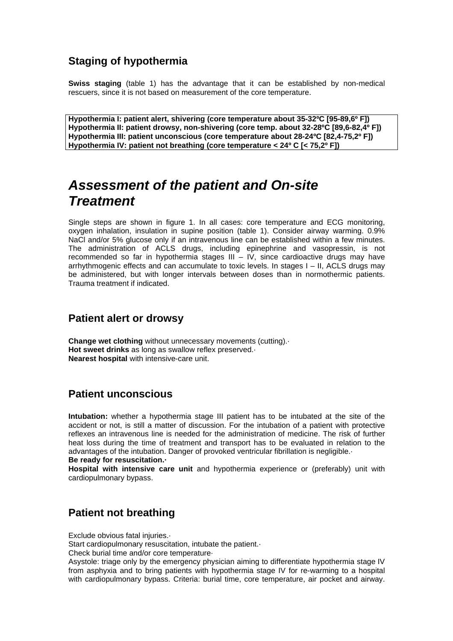## **Staging of hypothermia**

**Swiss staging** (table 1) has the advantage that it can be established by non-medical rescuers, since it is not based on measurement of the core temperature.

**Hypothermia I: patient alert, shivering (core temperature about 35-32ºC [95-89,6º F]) Hypothermia II: patient drowsy, non-shivering (core temp. about 32-28ºC [89,6-82,4º F]) Hypothermia III: patient unconscious (core temperature about 28-24ºC [82,4-75,2º F]) Hypothermia IV: patient not breathing (core temperature < 24º C [< 75,2º F])**

# *Assessment of the patient and On-site Treatment*

Single steps are shown in figure 1. In all cases: core temperature and ECG monitoring, oxygen inhalation, insulation in supine position (table 1). Consider airway warming. 0.9% NaCl and/or 5% glucose only if an intravenous line can be established within a few minutes. The administration of ACLS drugs, including epinephrine and vasopressin, is not recommended so far in hypothermia stages III – IV, since cardioactive drugs may have arrhythmogenic effects and can accumulate to toxic levels. In stages I – II, ACLS drugs may be administered, but with longer intervals between doses than in normothermic patients. Trauma treatment if indicated.

### **Patient alert or drowsy**

**Change wet clothing** without unnecessary movements (cutting).· **Hot sweet drinks** as long as swallow reflex preserved.· **Nearest hospital** with intensive-care unit.

### **Patient unconscious**

**Intubation:** whether a hypothermia stage III patient has to be intubated at the site of the accident or not, is still a matter of discussion. For the intubation of a patient with protective reflexes an intravenous line is needed for the administration of medicine. The risk of further heat loss during the time of treatment and transport has to be evaluated in relation to the advantages of the intubation. Danger of provoked ventricular fibrillation is negligible.· **Be ready for resuscitation.·**

**Hospital with intensive care unit** and hypothermia experience or (preferably) unit with cardiopulmonary bypass.

### **Patient not breathing**

Exclude obvious fatal injuries.·

Start cardiopulmonary resuscitation, intubate the patient.·

Check burial time and/or core temperature·

Asystole: triage only by the emergency physician aiming to differentiate hypothermia stage IV from asphyxia and to bring patients with hypothermia stage IV for re-warming to a hospital with cardiopulmonary bypass. Criteria: burial time, core temperature, air pocket and airway.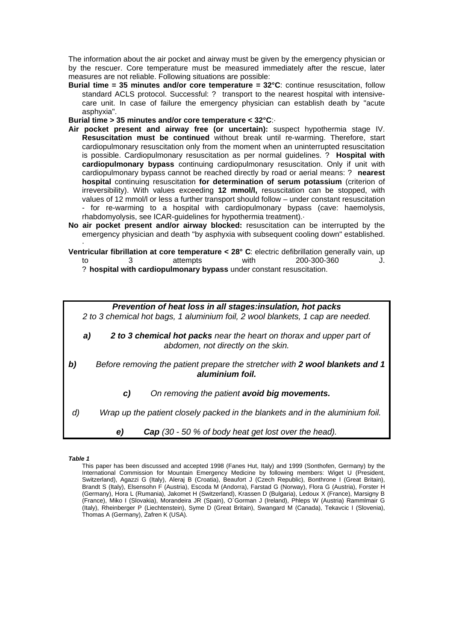The information about the air pocket and airway must be given by the emergency physician or by the rescuer. Core temperature must be measured immediately after the rescue, later measures are not reliable. Following situations are possible:

**Burial time = 35 minutes and/or core temperature = 32°C**: continue resuscitation, follow standard ACLS protocol. Successful: ? transport to the nearest hospital with intensivecare unit. In case of failure the emergency physician can establish death by "acute asphyxia".

**Burial time > 35 minutes and/or core temperature < 32°C**:·

- **Air pocket present and airway free (or uncertain):** suspect hypothermia stage IV. **Resuscitation must be continued** without break until re-warming. Therefore, start cardiopulmonary resuscitation only from the moment when an uninterrupted resuscitation is possible. Cardiopulmonary resuscitation as per normal guidelines. ? **Hospital with cardiopulmonary bypass** continuing cardiopulmonary resuscitation. Only if unit with cardiopulmonary bypass cannot be reached directly by road or aerial means: ? **nearest hospital** continuing resuscitation **for determination of serum potassium** (criterion of irreversibility). With values exceeding **12 mmol/l,** resuscitation can be stopped, with values of 12 mmol/l or less a further transport should follow – under constant resuscitation - for re-warming to a hospital with cardiopulmonary bypass (cave: haemolysis, rhabdomyolysis, see ICAR-guidelines for hypothermia treatment).·
- **No air pocket present and/or airway blocked:** resuscitation can be interrupted by the emergency physician and death "by asphyxia with subsequent cooling down" established. ·
- **Ventricular fibrillation at core temperature < 28° C:** electric defibrillation generally vain, up to 3 attempts with 200-300-360 ? **hospital with cardiopulmonary bypass** under constant resuscitation.

*Prevention of heat loss in all stages:insulation, hot packs 2 to 3 chemical hot bags, 1 aluminium foil, 2 wool blankets, 1 cap are needed. a) 2 to 3 chemical hot packs near the heart on thorax and upper part of abdomen, not directly on the skin. b) Before removing the patient prepare the stretcher with 2 wool blankets and 1 aluminium foil. c) On removing the patient avoid big movements. d) Wrap up the patient closely packed in the blankets and in the aluminium foil. e) Cap (30 - 50 % of body heat get lost over the head).*

*Table 1*

This paper has been discussed and accepted 1998 (Fanes Hut, Italy) and 1999 (Sonthofen, Germany) by the International Commission for Mountain Emergency Medicine by following members: Wiget U (President, Switzerland), Agazzi G (Italy), Aleraj B (Croatia), Beaufort J (Czech Republic), Bonthrone I (Great Britain), Brandt S (Italy), Elsensohn F (Austria), Escoda M (Andorra), Farstad G (Norway), Flora G (Austria), Forster H (Germany), Hora L (Rumania), Jakomet H (Switzerland), Krassen D (Bulgaria), Ledoux X (France), Marsigny B (France), Miko I (Slovakia), Morandeira JR (Spain), O´Gorman J (Ireland), Phleps W (Austria) Rammlmair G (Italy), Rheinberger P (Liechtenstein), Syme D (Great Britain), Swangard M (Canada), Tekavcic I (Slovenia), Thomas A (Germany), Zafren K (USA).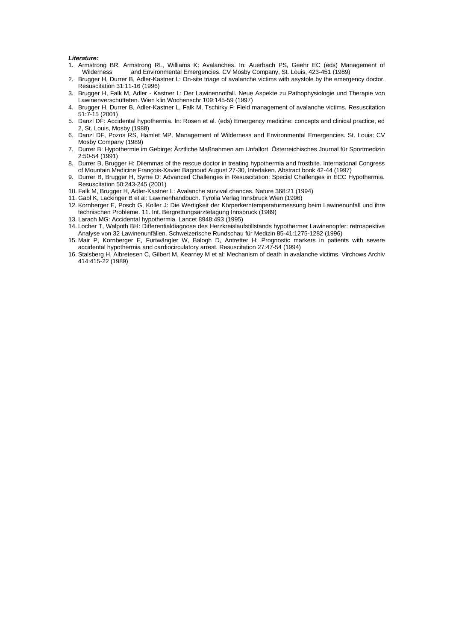#### *Literature:*

- 1. Armstrong BR, Armstrong RL, Williams K: Avalanches. In: Auerbach PS, Geehr EC (eds) Management of and Environmental Emergencies. CV Mosby Company, St. Louis, 423-451 (1989)
- 2. Brugger H, Durrer B, Adler-Kastner L: On-site triage of avalanche victims with asystole by the emergency doctor. Resuscitation 31:11-16 (1996)
- 3. Brugger H, Falk M, Adler Kastner L: Der Lawinennotfall. Neue Aspekte zu Pathophysiologie und Therapie von Lawinenverschütteten. Wien klin Wochenschr 109:145-59 (1997)
- 4. Brugger H, Durrer B, Adler-Kastner L, Falk M, Tschirky F: Field management of avalanche victims. Resuscitation 51:7-15 (2001)
- 5. Danzl DF: Accidental hypothermia. In: Rosen et al. (eds) Emergency medicine: concepts and clinical practice, ed 2, St. Louis, Mosby (1988)
- 6. Danzl DF, Pozos RS, Hamlet MP. Management of Wilderness and Environmental Emergencies. St. Louis: CV Mosby Company (1989)
- 7. Durrer B: Hypothermie im Gebirge: Ärztliche Maßnahmen am Unfallort. Österreichisches Journal für Sportmedizin 2:50-54 (1991)
- 8. Durrer B, Brugger H: Dilemmas of the rescue doctor in treating hypothermia and frostbite. International Congress of Mountain Medicine François-Xavier Bagnoud August 27-30, Interlaken. Abstract book 42-44 (1997)
- 9. Durrer B, Brugger H, Syme D: Advanced Challenges in Resuscitation: Special Challenges in ECC Hypothermia. Resuscitation 50:243-245 (2001)
- 10. Falk M, Brugger H, Adler-Kastner L: Avalanche survival chances. Nature 368:21 (1994)
- 11. Gabl K, Lackinger B et al: Lawinenhandbuch. Tyrolia Verlag Innsbruck Wien (1996)
- 12. Kornberger E, Posch G, Koller J: Die Wertigkeit der Körperkerntemperaturmessung beim Lawinenunfall und ihre technischen Probleme. 11. Int. Bergrettungsärztetagung Innsbruck (1989)
- 13. Larach MG: Accidental hypothermia. Lancet 8948:493 (1995)
- 14. Locher T, Walpoth BH: Differentialdiagnose des Herzkreislaufstillstands hypothermer Lawinenopfer: retrospektive Analyse von 32 Lawinenunfällen. Schweizerische Rundschau für Medizin 85-41:1275-1282 (1996)
- 15. Mair P, Kornberger E, Furtwängler W, Balogh D, Antretter H: Prognostic markers in patients with severe accidental hypothermia and cardiocirculatory arrest. Resuscitation 27:47-54 (1994)
- 16. Stalsberg H, Albretesen C, Gilbert M, Kearney M et al: Mechanism of death in avalanche victims. Virchows Archiv 414:415-22 (1989)